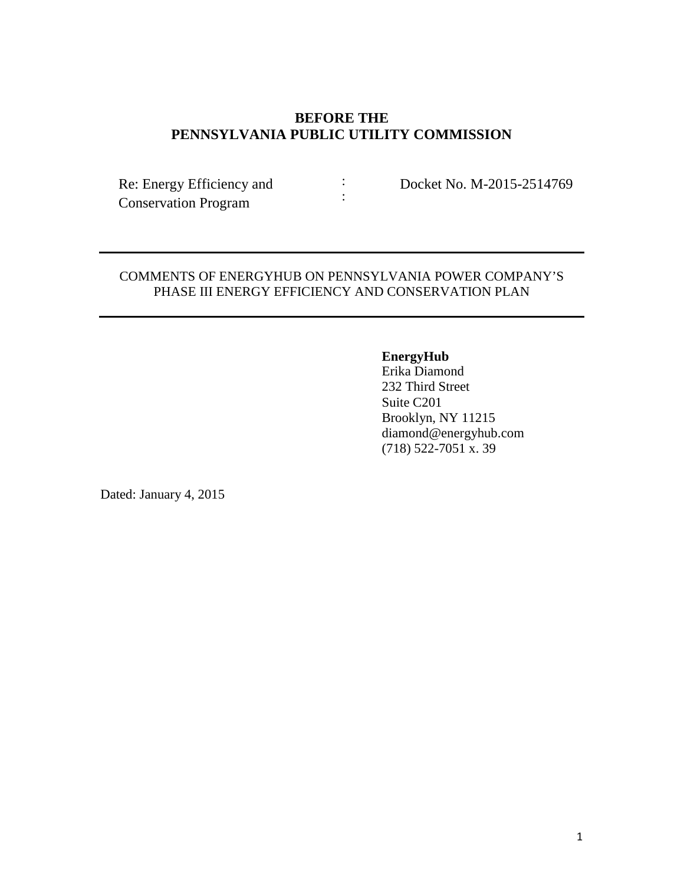# **BEFORE THE PENNSYLVANIA PUBLIC UTILITY COMMISSION**

: :

Re: Energy Efficiency and Conservation Program

Docket No. M-2015-2514769

### COMMENTS OF ENERGYHUB ON PENNSYLVANIA POWER COMPANY'S PHASE III ENERGY EFFICIENCY AND CONSERVATION PLAN

# **EnergyHub**

Erika Diamond 232 Third Street Suite C201 Brooklyn, NY 11215 diamond@energyhub.com (718) 522-7051 x. 39

Dated: January 4, 2015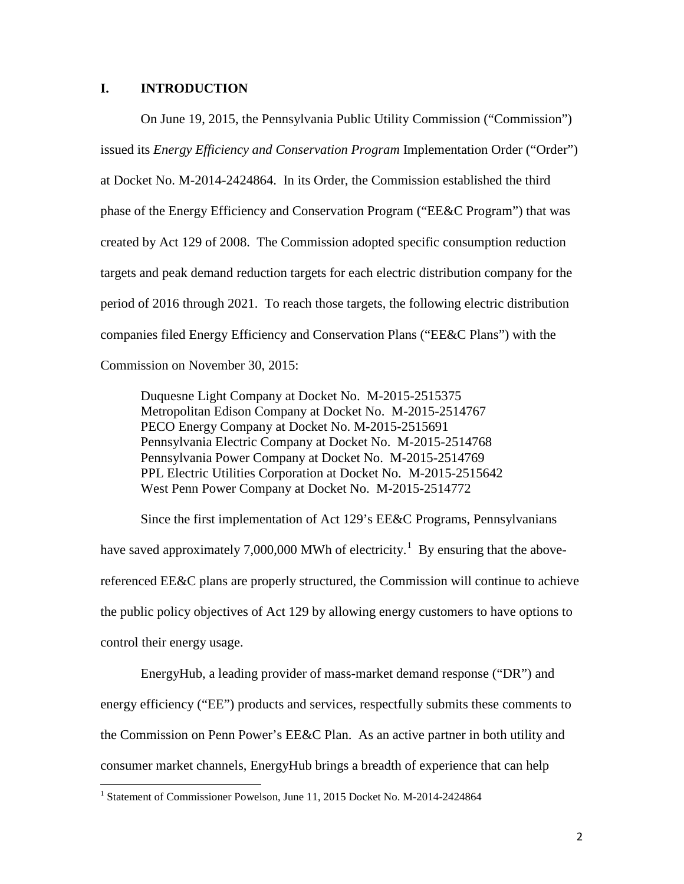#### **I. INTRODUCTION**

On June 19, 2015, the Pennsylvania Public Utility Commission ("Commission") issued its *Energy Efficiency and Conservation Program* Implementation Order ("Order") at Docket No. M-2014-2424864. In its Order, the Commission established the third phase of the Energy Efficiency and Conservation Program ("EE&C Program") that was created by Act 129 of 2008. The Commission adopted specific consumption reduction targets and peak demand reduction targets for each electric distribution company for the period of 2016 through 2021. To reach those targets, the following electric distribution companies filed Energy Efficiency and Conservation Plans ("EE&C Plans") with the Commission on November 30, 2015:

Duquesne Light Company at Docket No. M-2015-2515375 Metropolitan Edison Company at Docket No. M-2015-2514767 PECO Energy Company at Docket No. M-2015-2515691 Pennsylvania Electric Company at Docket No. M-2015-2514768 Pennsylvania Power Company at Docket No. M-2015-2514769 PPL Electric Utilities Corporation at Docket No. M-2015-2515642 West Penn Power Company at Docket No. M-2015-2514772

Since the first implementation of Act 129's EE&C Programs, Pennsylvanians have saved approximately 7,000,000 MWh of electricity.<sup>[1](#page-1-0)</sup> By ensuring that the abovereferenced EE&C plans are properly structured, the Commission will continue to achieve the public policy objectives of Act 129 by allowing energy customers to have options to control their energy usage.

EnergyHub, a leading provider of mass-market demand response ("DR") and energy efficiency ("EE") products and services, respectfully submits these comments to the Commission on Penn Power's EE&C Plan. As an active partner in both utility and consumer market channels, EnergyHub brings a breadth of experience that can help

<span id="page-1-0"></span><sup>&</sup>lt;sup>1</sup> Statement of Commissioner Powelson, June 11, 2015 Docket No. M-2014-2424864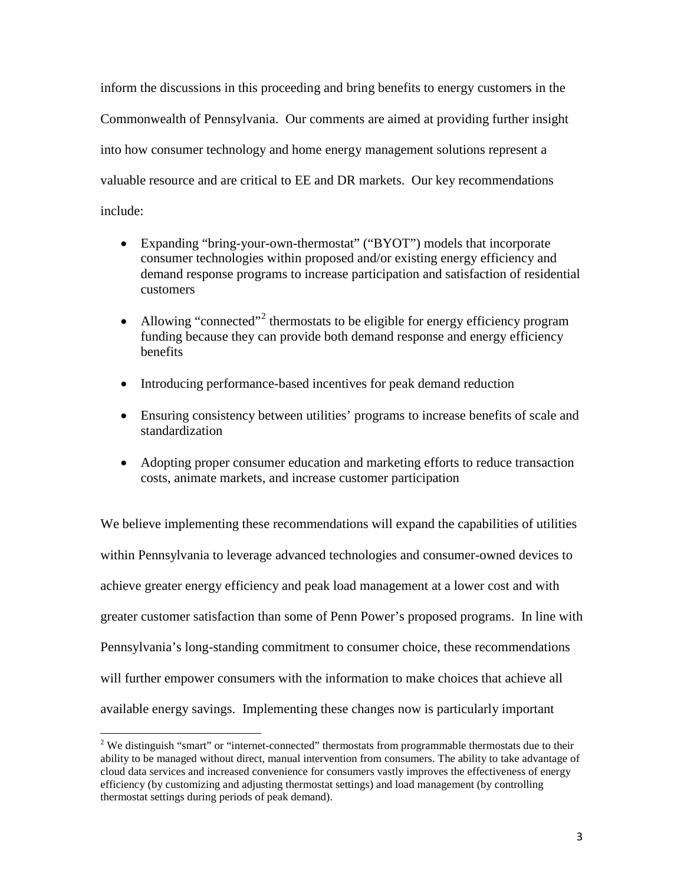inform the discussions in this proceeding and bring benefits to energy customers in the Commonwealth of Pennsylvania. Our comments are aimed at providing further insight into how consumer technology and home energy management solutions represent a valuable resource and are critical to EE and DR markets. Our key recommendations include:

- Expanding "bring-your-own-thermostat" ("BYOT") models that incorporate consumer technologies within proposed and/or existing energy efficiency and demand response programs to increase participation and satisfaction of residential customers
- Allowing "connected"<sup>[2](#page-2-0)</sup> thermostats to be eligible for energy efficiency program funding because they can provide both demand response and energy efficiency benefits
- Introducing performance-based incentives for peak demand reduction
- Ensuring consistency between utilities' programs to increase benefits of scale and standardization
- Adopting proper consumer education and marketing efforts to reduce transaction costs, animate markets, and increase customer participation

We believe implementing these recommendations will expand the capabilities of utilities within Pennsylvania to leverage advanced technologies and consumer-owned devices to achieve greater energy efficiency and peak load management at a lower cost and with greater customer satisfaction than some of Penn Power's proposed programs. In line with Pennsylvania's long-standing commitment to consumer choice, these recommendations will further empower consumers with the information to make choices that achieve all available energy savings. Implementing these changes now is particularly important

<span id="page-2-0"></span><sup>&</sup>lt;sup>2</sup> We distinguish "smart" or "internet-connected" thermostats from programmable thermostats due to their ability to be managed without direct, manual intervention from consumers. The ability to take advantage of cloud data services and increased convenience for consumers vastly improves the effectiveness of energy efficiency (by customizing and adjusting thermostat settings) and load management (by controlling thermostat settings during periods of peak demand).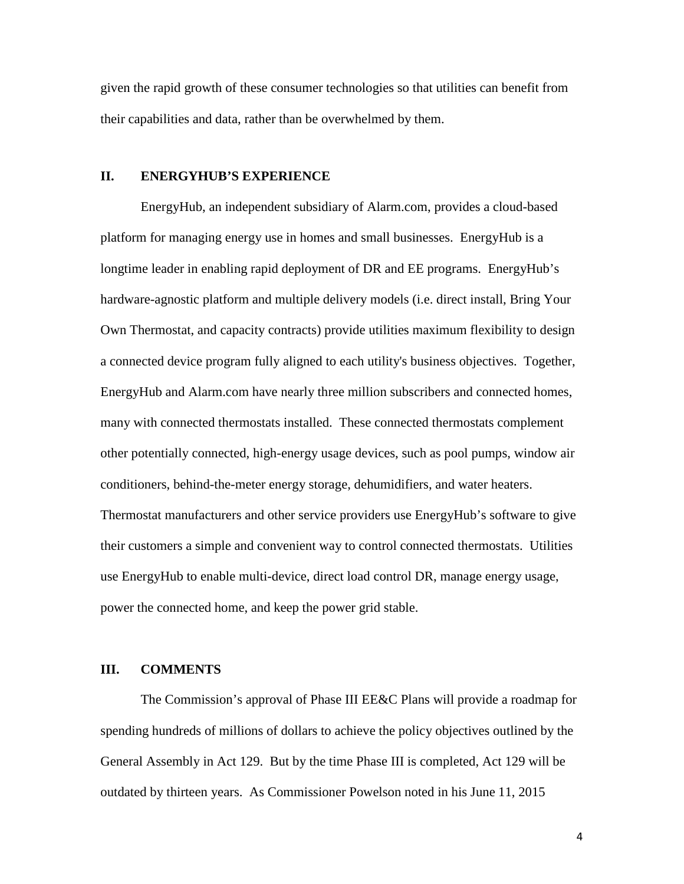given the rapid growth of these consumer technologies so that utilities can benefit from their capabilities and data, rather than be overwhelmed by them.

#### **II. ENERGYHUB'S EXPERIENCE**

EnergyHub, an independent subsidiary of Alarm.com, provides a cloud-based platform for managing energy use in homes and small businesses. EnergyHub is a longtime leader in enabling rapid deployment of DR and EE programs. EnergyHub's hardware-agnostic platform and multiple delivery models (i.e. direct install, Bring Your Own Thermostat, and capacity contracts) provide utilities maximum flexibility to design a connected device program fully aligned to each utility's business objectives. Together, EnergyHub and Alarm.com have nearly three million subscribers and connected homes, many with connected thermostats installed. These connected thermostats complement other potentially connected, high-energy usage devices, such as pool pumps, window air conditioners, behind-the-meter energy storage, dehumidifiers, and water heaters. Thermostat manufacturers and other service providers use EnergyHub's software to give their customers a simple and convenient way to control connected thermostats. Utilities use EnergyHub to enable multi-device, direct load control DR, manage energy usage, power the connected home, and keep the power grid stable.

#### **III. COMMENTS**

The Commission's approval of Phase III EE&C Plans will provide a roadmap for spending hundreds of millions of dollars to achieve the policy objectives outlined by the General Assembly in Act 129. But by the time Phase III is completed, Act 129 will be outdated by thirteen years. As Commissioner Powelson noted in his June 11, 2015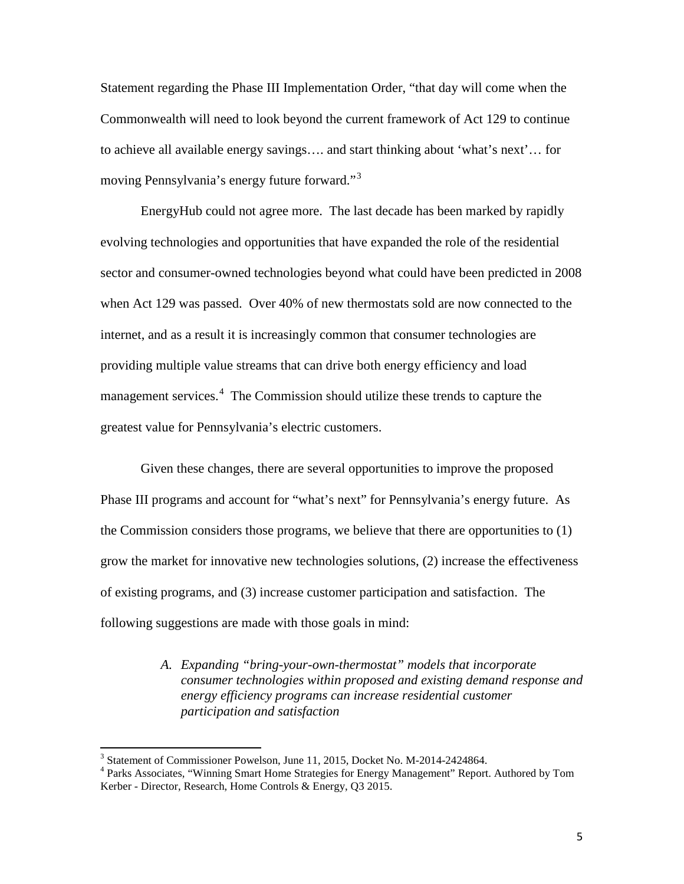Statement regarding the Phase III Implementation Order, "that day will come when the Commonwealth will need to look beyond the current framework of Act 129 to continue to achieve all available energy savings…. and start thinking about 'what's next'… for moving Pennsylvania's energy future forward."[3](#page-4-0)

EnergyHub could not agree more. The last decade has been marked by rapidly evolving technologies and opportunities that have expanded the role of the residential sector and consumer-owned technologies beyond what could have been predicted in 2008 when Act 129 was passed. Over 40% of new thermostats sold are now connected to the internet, and as a result it is increasingly common that consumer technologies are providing multiple value streams that can drive both energy efficiency and load management services.<sup>[4](#page-4-1)</sup> The Commission should utilize these trends to capture the greatest value for Pennsylvania's electric customers.

Given these changes, there are several opportunities to improve the proposed Phase III programs and account for "what's next" for Pennsylvania's energy future. As the Commission considers those programs, we believe that there are opportunities to (1) grow the market for innovative new technologies solutions, (2) increase the effectiveness of existing programs, and (3) increase customer participation and satisfaction. The following suggestions are made with those goals in mind:

> *A. Expanding "bring-your-own-thermostat" models that incorporate consumer technologies within proposed and existing demand response and energy efficiency programs can increase residential customer participation and satisfaction*

<span id="page-4-1"></span><span id="page-4-0"></span><sup>&</sup>lt;sup>3</sup> Statement of Commissioner Powelson, June 11, 2015, Docket No. M-2014-2424864.<br><sup>4</sup> Parks Associates, "Winning Smart Home Strategies for Energy Management" Report. Authored by Tom Kerber - Director, Research, Home Controls & Energy, Q3 2015.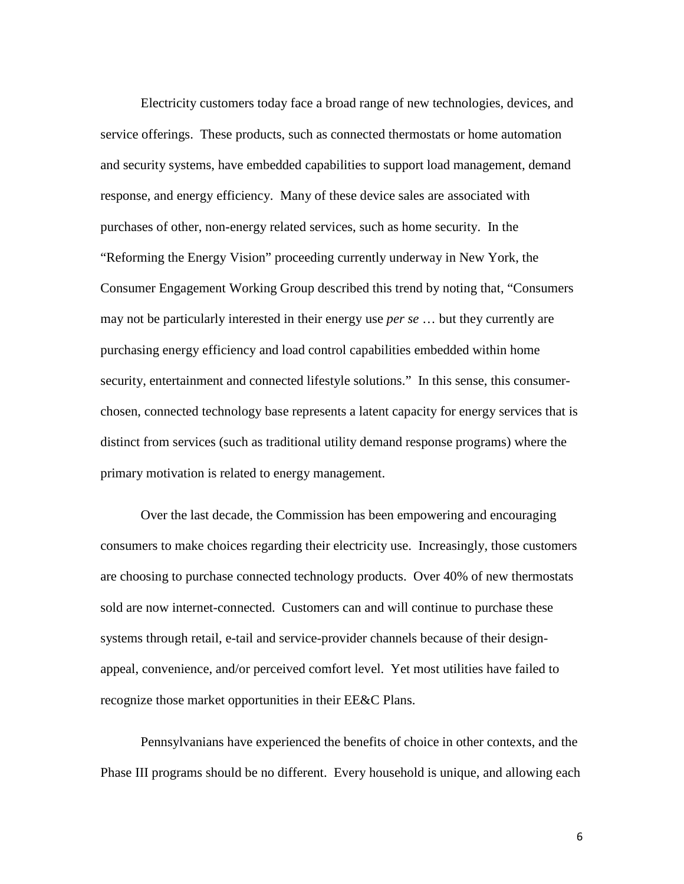Electricity customers today face a broad range of new technologies, devices, and service offerings. These products, such as connected thermostats or home automation and security systems, have embedded capabilities to support load management, demand response, and energy efficiency. Many of these device sales are associated with purchases of other, non-energy related services, such as home security. In the "Reforming the Energy Vision" proceeding currently underway in New York, the Consumer Engagement Working Group described this trend by noting that, "Consumers may not be particularly interested in their energy use *per se* … but they currently are purchasing energy efficiency and load control capabilities embedded within home security, entertainment and connected lifestyle solutions." In this sense, this consumerchosen, connected technology base represents a latent capacity for energy services that is distinct from services (such as traditional utility demand response programs) where the primary motivation is related to energy management.

Over the last decade, the Commission has been empowering and encouraging consumers to make choices regarding their electricity use. Increasingly, those customers are choosing to purchase connected technology products. Over 40% of new thermostats sold are now internet-connected. Customers can and will continue to purchase these systems through retail, e-tail and service-provider channels because of their designappeal, convenience, and/or perceived comfort level. Yet most utilities have failed to recognize those market opportunities in their EE&C Plans.

Pennsylvanians have experienced the benefits of choice in other contexts, and the Phase III programs should be no different. Every household is unique, and allowing each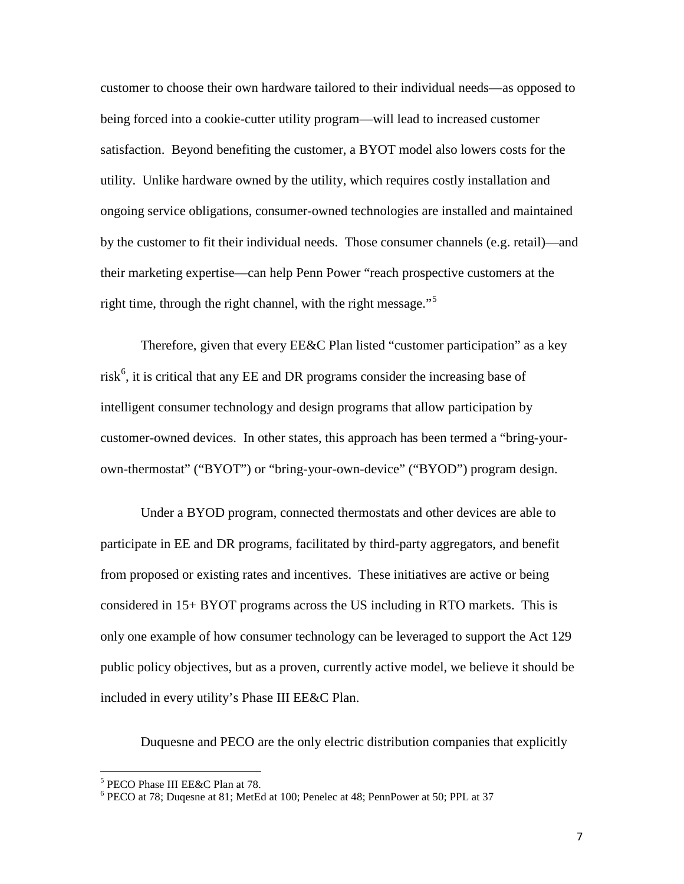customer to choose their own hardware tailored to their individual needs—as opposed to being forced into a cookie-cutter utility program—will lead to increased customer satisfaction. Beyond benefiting the customer, a BYOT model also lowers costs for the utility. Unlike hardware owned by the utility, which requires costly installation and ongoing service obligations, consumer-owned technologies are installed and maintained by the customer to fit their individual needs. Those consumer channels (e.g. retail)—and their marketing expertise—can help Penn Power "reach prospective customers at the right time, through the right channel, with the right message."<sup>[5](#page-6-0)</sup>

Therefore, given that every EE&C Plan listed "customer participation" as a key risk<sup>[6](#page-6-1)</sup>, it is critical that any EE and DR programs consider the increasing base of intelligent consumer technology and design programs that allow participation by customer-owned devices. In other states, this approach has been termed a "bring-yourown-thermostat" ("BYOT") or "bring-your-own-device" ("BYOD") program design.

Under a BYOD program, connected thermostats and other devices are able to participate in EE and DR programs, facilitated by third-party aggregators, and benefit from proposed or existing rates and incentives. These initiatives are active or being considered in 15+ BYOT programs across the US including in RTO markets. This is only one example of how consumer technology can be leveraged to support the Act 129 public policy objectives, but as a proven, currently active model, we believe it should be included in every utility's Phase III EE&C Plan.

Duquesne and PECO are the only electric distribution companies that explicitly

<span id="page-6-1"></span><span id="page-6-0"></span><sup>&</sup>lt;sup>5</sup> PECO Phase III EE&C Plan at 78.<br><sup>6</sup> PECO at 78; Duqesne at 81; MetEd at 100; Penelec at 48; PennPower at 50; PPL at 37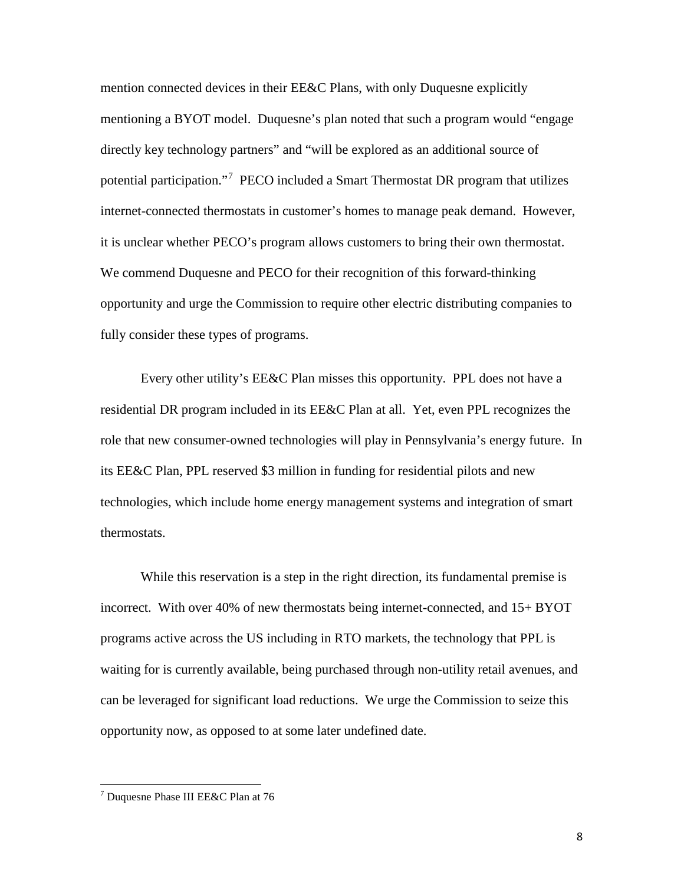mention connected devices in their EE&C Plans, with only Duquesne explicitly mentioning a BYOT model. Duquesne's plan noted that such a program would "engage directly key technology partners" and "will be explored as an additional source of potential participation."<sup>[7](#page-7-0)</sup> PECO included a Smart Thermostat DR program that utilizes internet-connected thermostats in customer's homes to manage peak demand. However, it is unclear whether PECO's program allows customers to bring their own thermostat. We commend Duquesne and PECO for their recognition of this forward-thinking opportunity and urge the Commission to require other electric distributing companies to fully consider these types of programs.

Every other utility's EE&C Plan misses this opportunity. PPL does not have a residential DR program included in its EE&C Plan at all. Yet, even PPL recognizes the role that new consumer-owned technologies will play in Pennsylvania's energy future. In its EE&C Plan, PPL reserved \$3 million in funding for residential pilots and new technologies, which include home energy management systems and integration of smart thermostats.

While this reservation is a step in the right direction, its fundamental premise is incorrect. With over 40% of new thermostats being internet-connected, and 15+ BYOT programs active across the US including in RTO markets, the technology that PPL is waiting for is currently available, being purchased through non-utility retail avenues, and can be leveraged for significant load reductions. We urge the Commission to seize this opportunity now, as opposed to at some later undefined date.

<span id="page-7-0"></span><sup>7</sup> Duquesne Phase III EE&C Plan at 76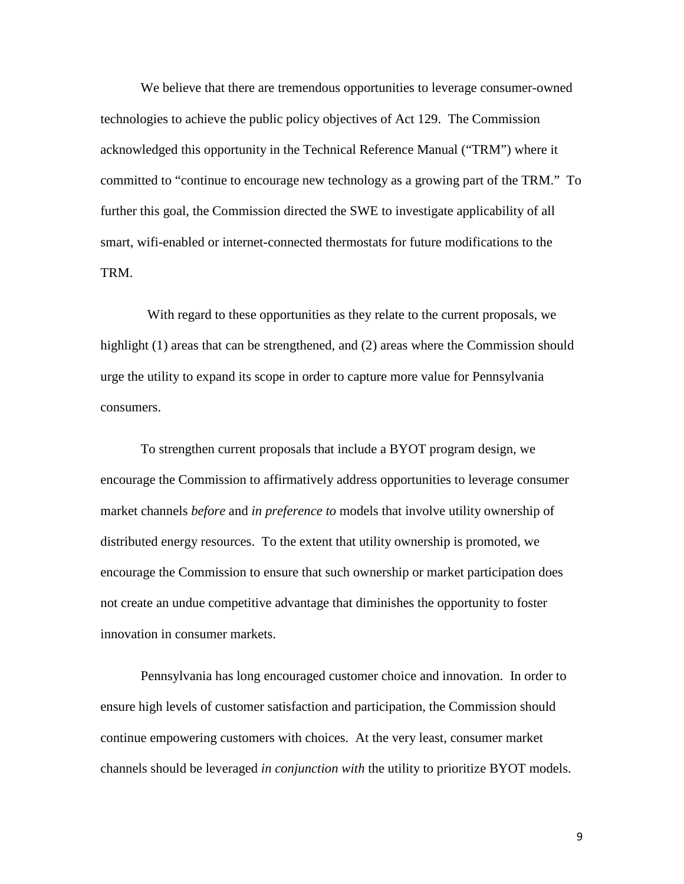We believe that there are tremendous opportunities to leverage consumer-owned technologies to achieve the public policy objectives of Act 129. The Commission acknowledged this opportunity in the Technical Reference Manual ("TRM") where it committed to "continue to encourage new technology as a growing part of the TRM." To further this goal, the Commission directed the SWE to investigate applicability of all smart, wifi-enabled or internet-connected thermostats for future modifications to the TRM.

 With regard to these opportunities as they relate to the current proposals, we highlight (1) areas that can be strengthened, and (2) areas where the Commission should urge the utility to expand its scope in order to capture more value for Pennsylvania consumers.

To strengthen current proposals that include a BYOT program design, we encourage the Commission to affirmatively address opportunities to leverage consumer market channels *before* and *in preference to* models that involve utility ownership of distributed energy resources. To the extent that utility ownership is promoted, we encourage the Commission to ensure that such ownership or market participation does not create an undue competitive advantage that diminishes the opportunity to foster innovation in consumer markets.

Pennsylvania has long encouraged customer choice and innovation. In order to ensure high levels of customer satisfaction and participation, the Commission should continue empowering customers with choices. At the very least, consumer market channels should be leveraged *in conjunction with* the utility to prioritize BYOT models.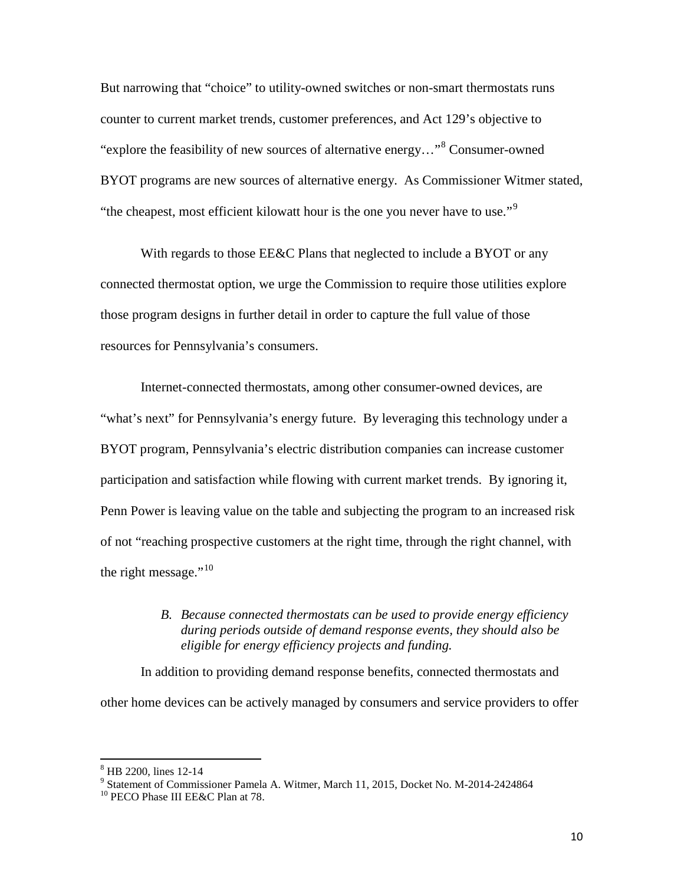But narrowing that "choice" to utility-owned switches or non-smart thermostats runs counter to current market trends, customer preferences, and Act 129's objective to "explore the feasibility of new sources of alternative energy…"[8](#page-9-0) Consumer-owned BYOT programs are new sources of alternative energy. As Commissioner Witmer stated, "the cheapest, most efficient kilowatt hour is the one you never have to use."<sup>[9](#page-9-1)</sup>

With regards to those EE&C Plans that neglected to include a BYOT or any connected thermostat option, we urge the Commission to require those utilities explore those program designs in further detail in order to capture the full value of those resources for Pennsylvania's consumers.

Internet-connected thermostats, among other consumer-owned devices, are "what's next" for Pennsylvania's energy future. By leveraging this technology under a BYOT program, Pennsylvania's electric distribution companies can increase customer participation and satisfaction while flowing with current market trends. By ignoring it, Penn Power is leaving value on the table and subjecting the program to an increased risk of not "reaching prospective customers at the right time, through the right channel, with the right message." $10$ 

## *B. Because connected thermostats can be used to provide energy efficiency during periods outside of demand response events, they should also be eligible for energy efficiency projects and funding.*

In addition to providing demand response benefits, connected thermostats and other home devices can be actively managed by consumers and service providers to offer

<span id="page-9-0"></span><sup>&</sup>lt;sup>8</sup> HB 2200, lines 12-14<br><sup>9</sup> Statement of Commissioner Pamela A. Witmer, March 11, 2015, Docket No. M-2014-2424864<br><sup>10</sup> PECO Phase III EE&C Plan at 78.

<span id="page-9-1"></span>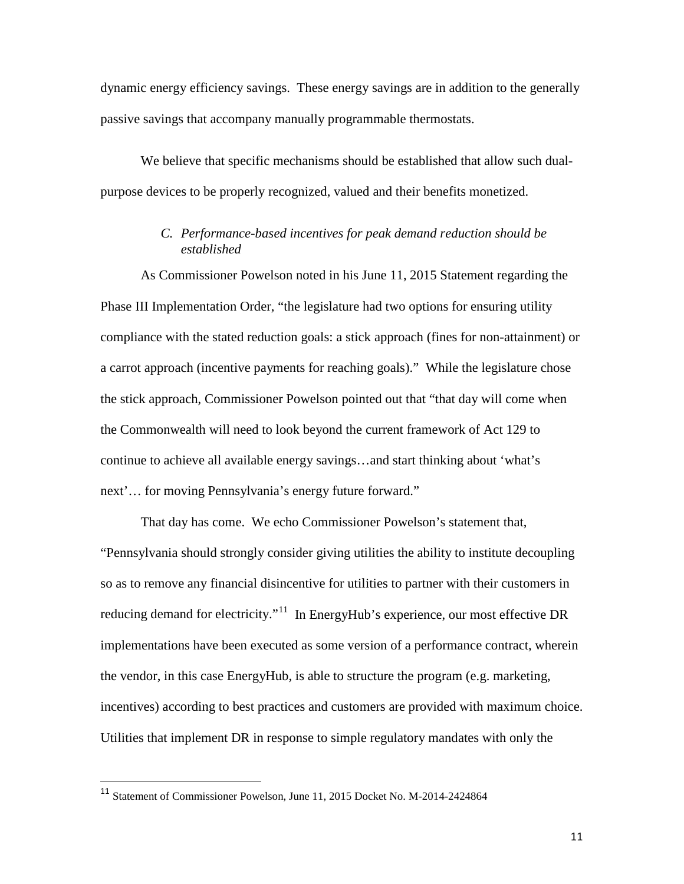dynamic energy efficiency savings. These energy savings are in addition to the generally passive savings that accompany manually programmable thermostats.

We believe that specific mechanisms should be established that allow such dualpurpose devices to be properly recognized, valued and their benefits monetized.

# *C. Performance-based incentives for peak demand reduction should be established*

As Commissioner Powelson noted in his June 11, 2015 Statement regarding the Phase III Implementation Order, "the legislature had two options for ensuring utility compliance with the stated reduction goals: a stick approach (fines for non-attainment) or a carrot approach (incentive payments for reaching goals)." While the legislature chose the stick approach, Commissioner Powelson pointed out that "that day will come when the Commonwealth will need to look beyond the current framework of Act 129 to continue to achieve all available energy savings…and start thinking about 'what's next'… for moving Pennsylvania's energy future forward."

That day has come. We echo Commissioner Powelson's statement that, "Pennsylvania should strongly consider giving utilities the ability to institute decoupling so as to remove any financial disincentive for utilities to partner with their customers in reducing demand for electricity."<sup>11</sup> In EnergyHub's experience, our most effective DR implementations have been executed as some version of a performance contract, wherein the vendor, in this case EnergyHub, is able to structure the program (e.g. marketing, incentives) according to best practices and customers are provided with maximum choice. Utilities that implement DR in response to simple regulatory mandates with only the

<span id="page-10-0"></span> <sup>11</sup> Statement of Commissioner Powelson, June 11, 2015 Docket No. M-2014-2424864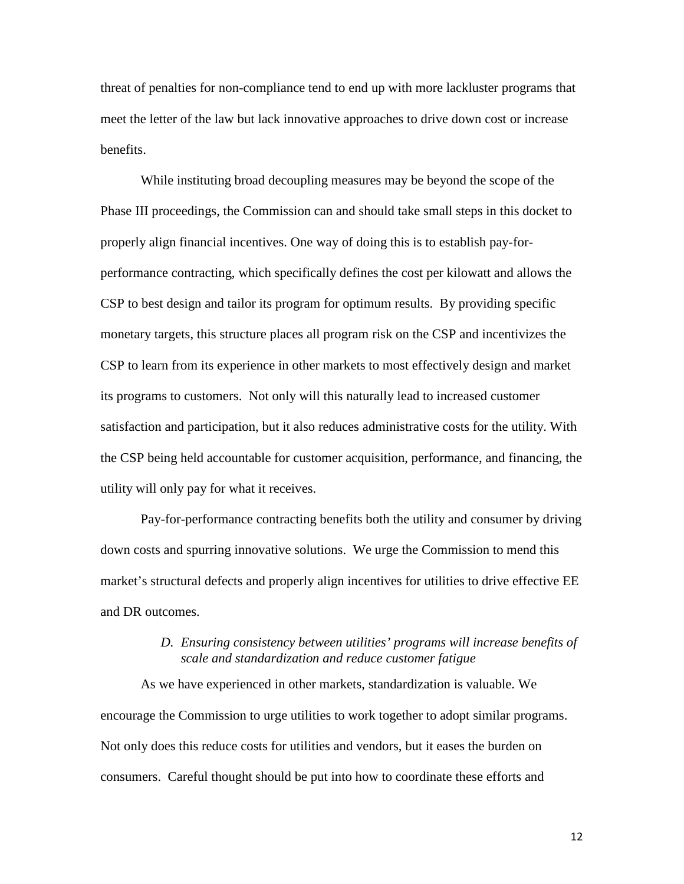threat of penalties for non-compliance tend to end up with more lackluster programs that meet the letter of the law but lack innovative approaches to drive down cost or increase benefits.

While instituting broad decoupling measures may be beyond the scope of the Phase III proceedings, the Commission can and should take small steps in this docket to properly align financial incentives. One way of doing this is to establish pay-forperformance contracting, which specifically defines the cost per kilowatt and allows the CSP to best design and tailor its program for optimum results. By providing specific monetary targets, this structure places all program risk on the CSP and incentivizes the CSP to learn from its experience in other markets to most effectively design and market its programs to customers. Not only will this naturally lead to increased customer satisfaction and participation, but it also reduces administrative costs for the utility. With the CSP being held accountable for customer acquisition, performance, and financing, the utility will only pay for what it receives.

Pay-for-performance contracting benefits both the utility and consumer by driving down costs and spurring innovative solutions. We urge the Commission to mend this market's structural defects and properly align incentives for utilities to drive effective EE and DR outcomes.

#### *D. Ensuring consistency between utilities' programs will increase benefits of scale and standardization and reduce customer fatigue*

<span id="page-11-0"></span>As we have experienced in other markets, standardization is valuable. We encourage the Commission to urge utilities to work together to adopt similar programs. Not only does this reduce costs for utilities and vendors, but it eases the burden on consumers. Careful thought should be put into how to coordinate these efforts and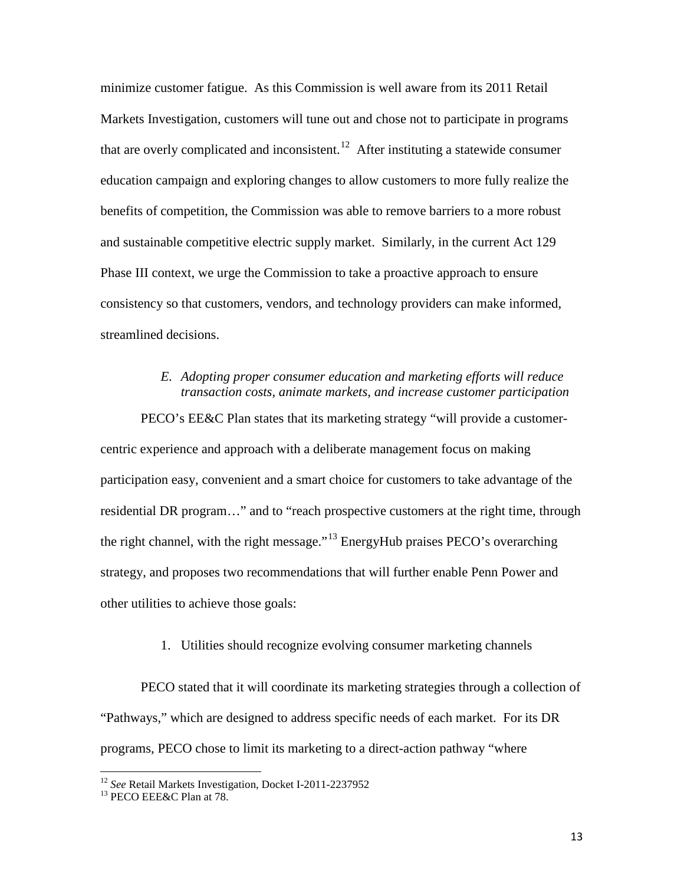minimize customer fatigue. As this Commission is well aware from its 2011 Retail Markets Investigation, customers will tune out and chose not to participate in programs that are overly complicated and inconsistent.<sup>[12](#page-12-0)</sup> After instituting a statewide consumer education campaign and exploring changes to allow customers to more fully realize the benefits of competition, the Commission was able to remove barriers to a more robust and sustainable competitive electric supply market. Similarly, in the current Act 129 Phase III context, we urge the Commission to take a proactive approach to ensure consistency so that customers, vendors, and technology providers can make informed, streamlined decisions.

## *E. Adopting proper consumer education and marketing efforts will reduce transaction costs, animate markets, and increase customer participation*

PECO's EE&C Plan states that its marketing strategy "will provide a customercentric experience and approach with a deliberate management focus on making participation easy, convenient and a smart choice for customers to take advantage of the residential DR program…" and to "reach prospective customers at the right time, through the right channel, with the right message."[13](#page-13-0) EnergyHub praises PECO's overarching strategy, and proposes two recommendations that will further enable Penn Power and other utilities to achieve those goals:

#### 1. Utilities should recognize evolving consumer marketing channels

PECO stated that it will coordinate its marketing strategies through a collection of "Pathways," which are designed to address specific needs of each market. For its DR programs, PECO chose to limit its marketing to a direct-action pathway "where

<span id="page-12-0"></span><sup>&</sup>lt;sup>12</sup> *See* Retail Markets Investigation, Docket I-2011-2237952<br><sup>13</sup> PECO EEE&C Plan at 78.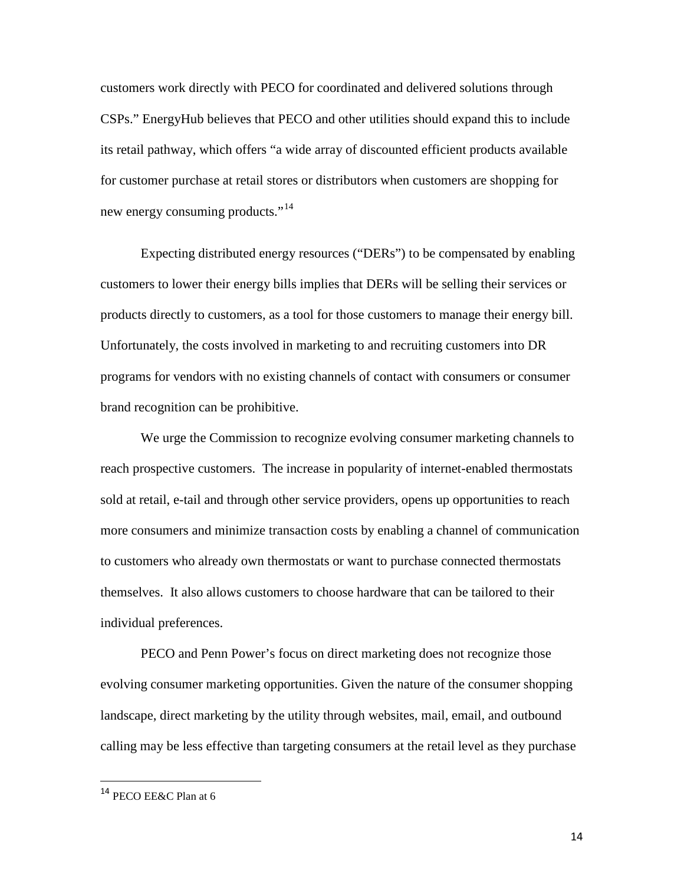customers work directly with PECO for coordinated and delivered solutions through CSPs." EnergyHub believes that PECO and other utilities should expand this to include its retail pathway, which offers "a wide array of discounted efficient products available for customer purchase at retail stores or distributors when customers are shopping for new energy consuming products."<sup>[14](#page-13-1)</sup>

Expecting distributed energy resources ("DERs") to be compensated by enabling customers to lower their energy bills implies that DERs will be selling their services or products directly to customers, as a tool for those customers to manage their energy bill. Unfortunately, the costs involved in marketing to and recruiting customers into DR programs for vendors with no existing channels of contact with consumers or consumer brand recognition can be prohibitive.

We urge the Commission to recognize evolving consumer marketing channels to reach prospective customers. The increase in popularity of internet-enabled thermostats sold at retail, e-tail and through other service providers, opens up opportunities to reach more consumers and minimize transaction costs by enabling a channel of communication to customers who already own thermostats or want to purchase connected thermostats themselves. It also allows customers to choose hardware that can be tailored to their individual preferences.

PECO and Penn Power's focus on direct marketing does not recognize those evolving consumer marketing opportunities. Given the nature of the consumer shopping landscape, direct marketing by the utility through websites, mail, email, and outbound calling may be less effective than targeting consumers at the retail level as they purchase

<span id="page-13-1"></span><span id="page-13-0"></span> <sup>14</sup> PECO EE&C Plan at 6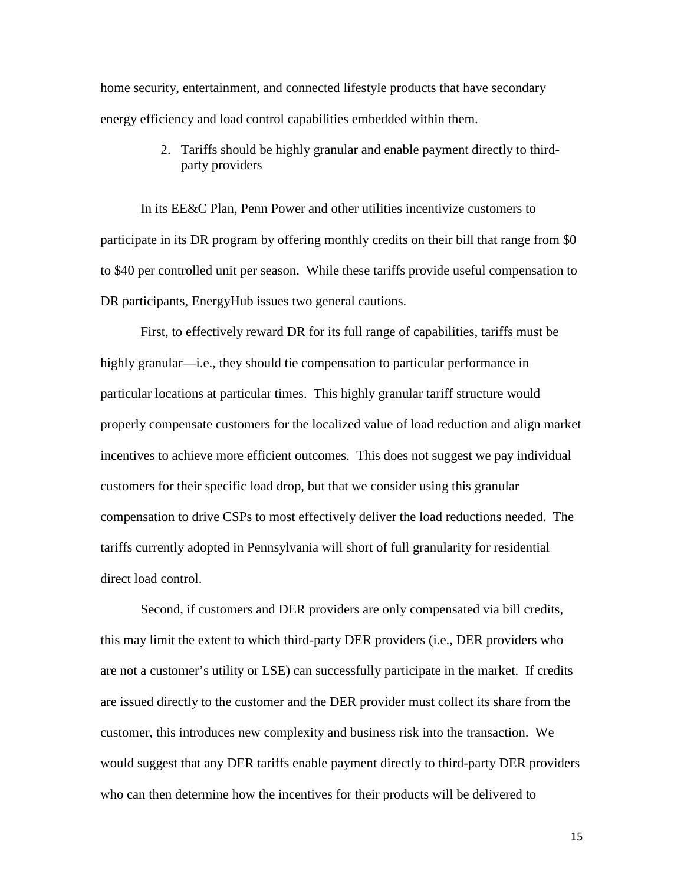home security, entertainment, and connected lifestyle products that have secondary energy efficiency and load control capabilities embedded within them.

> 2. Tariffs should be highly granular and enable payment directly to thirdparty providers

In its EE&C Plan, Penn Power and other utilities incentivize customers to participate in its DR program by offering monthly credits on their bill that range from \$0 to \$40 per controlled unit per season. While these tariffs provide useful compensation to DR participants, EnergyHub issues two general cautions.

First, to effectively reward DR for its full range of capabilities, tariffs must be highly granular—i.e., they should tie compensation to particular performance in particular locations at particular times. This highly granular tariff structure would properly compensate customers for the localized value of load reduction and align market incentives to achieve more efficient outcomes. This does not suggest we pay individual customers for their specific load drop, but that we consider using this granular compensation to drive CSPs to most effectively deliver the load reductions needed. The tariffs currently adopted in Pennsylvania will short of full granularity for residential direct load control.

Second, if customers and DER providers are only compensated via bill credits, this may limit the extent to which third-party DER providers (i.e., DER providers who are not a customer's utility or LSE) can successfully participate in the market. If credits are issued directly to the customer and the DER provider must collect its share from the customer, this introduces new complexity and business risk into the transaction. We would suggest that any DER tariffs enable payment directly to third-party DER providers who can then determine how the incentives for their products will be delivered to